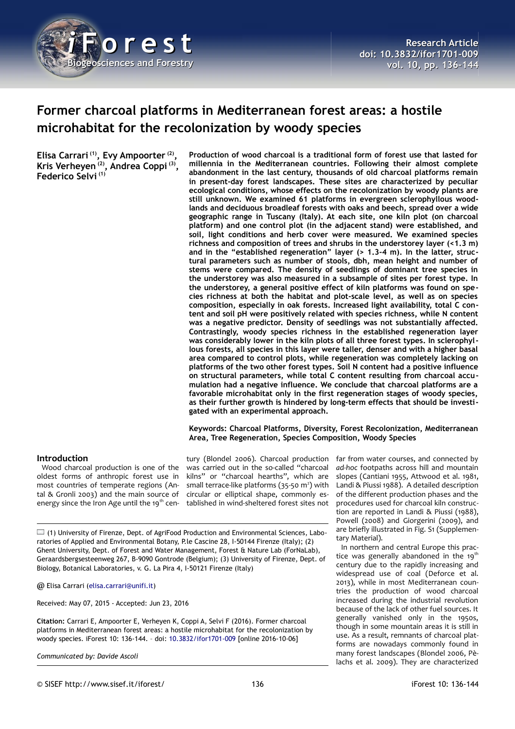

# **Former charcoal platforms in Mediterranean forest areas: a hostile microhabitat for the recolonization by woody species**

**Elisa Carrari (1), Evy Ampoorter (2) , Kris Verheyen (2), Andrea Coppi (3) , Federico Selvi (1)**

**Production of wood charcoal is a traditional form of forest use that lasted for millennia in the Mediterranean countries. Following their almost complete abandonment in the last century, thousands of old charcoal platforms remain in present-day forest landscapes. These sites are characterized by peculiar ecological conditions, whose effects on the recolonization by woody plants are still unknown. We examined 61 platforms in evergreen sclerophyllous woodlands and deciduous broadleaf forests with oaks and beech, spread over a wide geographic range in Tuscany (Italy). At each site, one kiln plot (on charcoal platform) and one control plot (in the adjacent stand) were established, and soil, light conditions and herb cover were measured. We examined species richness and composition of trees and shrubs in the understorey layer (<1.3 m) and in the "established regeneration" layer (> 1.3-4 m). In the latter, structural parameters such as number of stools, dbh, mean height and number of stems were compared. The density of seedlings of dominant tree species in the understorey was also measured in a subsample of sites per forest type. In the understorey, a general positive effect of kiln platforms was found on species richness at both the habitat and plot-scale level, as well as on species composition, especially in oak forests. Increased light availability, total C content and soil pH were positively related with species richness, while N content was a negative predictor. Density of seedlings was not substantially affected. Contrastingly, woody species richness in the established regeneration layer was considerably lower in the kiln plots of all three forest types. In sclerophyllous forests, all species in this layer were taller, denser and with a higher basal area compared to control plots, while regeneration was completely lacking on platforms of the two other forest types. Soil N content had a positive influence on structural parameters, while total C content resulting from charcoal accumulation had a negative influence. We conclude that charcoal platforms are a favorable microhabitat only in the first regeneration stages of woody species, as their further growth is hindered by long-term effects that should be investigated with an experimental approach.**

#### **Keywords: Charcoal Platforms, Diversity, Forest Recolonization, Mediterranean Area, Tree Regeneration, Species Composition, Woody Species**

#### **Introduction**

Wood charcoal production is one of the oldest forms of anthropic forest use in most countries of temperate regions (Antal & Gronli 2003) and the main source of energy since the Iron Age until the 19<sup>th</sup> cen-

tury (Blondel 2006). Charcoal production was carried out in the so-called "charcoal kilns" or "charcoal hearths", which are small terrace-like platforms  $(35-50 \text{ m}^2)$  with circular or elliptical shape, commonly established in wind-sheltered forest sites not

(1) University of Firenze, Dept. of AgriFood Production and Environmental Sciences, Laboratories of Applied and Environmental Botany, P.le Cascine 28, I-50144 Firenze (Italy); (2) Ghent University, Dept. of Forest and Water Management, Forest & Nature Lab (ForNaLab), Geraardsbergsesteenweg 267, B-9090 Gontrode (Belgium); (3) University of Firenze, Dept. of Biology, Botanical Laboratories, v. G. La Pira 4, I-50121 Firenze (Italy)

@ Elisa Carrari [\(elisa.carrari@unifi.it\)](mailto:elisa.carrari@unifi.it)

Received: May 07, 2015 - Accepted: Jun 23, 2016

**Citation:** Carrari E, Ampoorter E, Verheyen K, Coppi A, Selvi F (2016). Former charcoal platforms in Mediterranean forest areas: a hostile microhabitat for the recolonization by woody species. iForest 10: 136-144. – doi: [10.3832/ifor1701-009](http://www.sisef.it/iforest/contents/?id=ifor1701-009) [online 2016-10-06]

*Communicated by: Davide Ascoli*

far from water courses, and connected by *ad-hoc* footpaths across hill and mountain slopes (Cantiani 1955, Attwood et al. 1981, Landi & Piussi 1988). A detailed description of the different production phases and the procedures used for charcoal kiln construction are reported in Landi & Piussi (1988), Powell (2008) and Giorgerini (2009), and are briefly illustrated in Fig. S1 (Supplementary Material).

In northern and central Europe this practice was generally abandoned in the  $19<sup>th</sup>$ century due to the rapidly increasing and widespread use of coal (Deforce et al. 2013), while in most Mediterranean countries the production of wood charcoal increased during the industrial revolution because of the lack of other fuel sources. It generally vanished only in the 1950s, though in some mountain areas it is still in use. As a result, remnants of charcoal platforms are nowadays commonly found in many forest landscapes (Blondel 2006, Pèlachs et al. 2009). They are characterized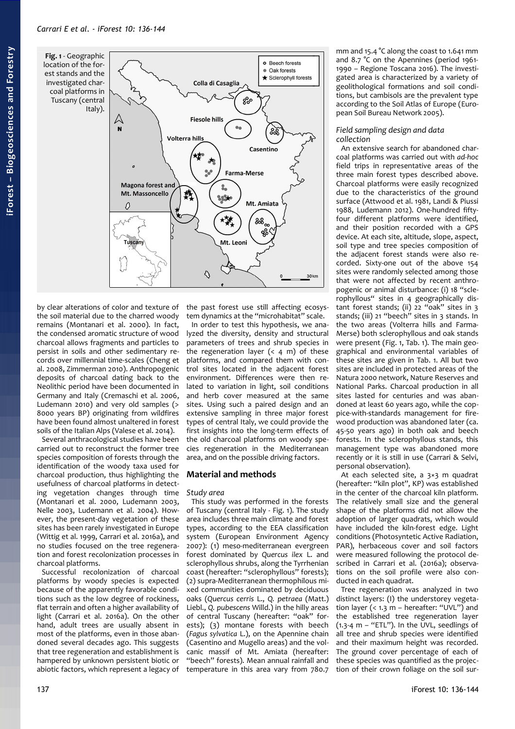<span id="page-1-0"></span>**Fig. 1** - Geographic location of the forest stands and the investigated charcoal platforms in Tuscany (central



by clear alterations of color and texture of the soil material due to the charred woody remains (Montanari et al. 2000). In fact, the condensed aromatic structure of wood charcoal allows fragments and particles to persist in soils and other sedimentary records over millennial time-scales (Cheng et al. 2008, Zimmerman 2010). Anthropogenic deposits of charcoal dating back to the Neolithic period have been documented in Germany and Italy (Cremaschi et al. 2006, Ludemann 2010) and very old samples (> 8000 years BP) originating from wildfires have been found almost unaltered in forest soils of the Italian Alps (Valese et al. 2014).

Several anthracological studies have been carried out to reconstruct the former tree species composition of forests through the identification of the woody taxa used for charcoal production, thus highlighting the usefulness of charcoal platforms in detecting vegetation changes through time (Montanari et al. 2000, Ludemann 2003, Nelle 2003, Ludemann et al. 2004). However, the present-day vegetation of these sites has been rarely investigated in Europe (Wittig et al. 1999, Carrari et al. 2016a), and no studies focused on the tree regeneration and forest recolonization processes in charcoal platforms.

Successful recolonization of charcoal platforms by woody species is expected because of the apparently favorable conditions such as the low degree of rockiness, flat terrain and often a higher availability of light (Carrari et al. 2016a). On the other hand, adult trees are usually absent in most of the platforms, even in those abandoned several decades ago. This suggests that tree regeneration and establishment is hampered by unknown persistent biotic or abiotic factors, which represent a legacy of the past forest use still affecting ecosystem dynamics at the "microhabitat" scale.

In order to test this hypothesis, we analyzed the diversity, density and structural parameters of trees and shrub species in the regeneration layer  $(4 \, m)$  of these platforms, and compared them with control sites located in the adjacent forest environment. Differences were then related to variation in light, soil conditions and herb cover measured at the same sites. Using such a paired design and an extensive sampling in three major forest types of central Italy, we could provide the first insights into the long-term effects of the old charcoal platforms on woody species regeneration in the Mediterranean area, and on the possible driving factors.

# **Material and methods**

# *Study area*

This study was performed in the forests of Tuscany (central Italy - [Fig. 1\)](#page-1-0). The study area includes three main climate and forest types, according to the EEA classification system (European Environment Agency 2007): (1) meso-mediterranean evergreen forest dominated by *Quercus ilex* L. and sclerophyllous shrubs, along the Tyrrhenian coast (hereafter: "sclerophyllous" forests); (2) supra-Mediterranean thermophilous mixed communities dominated by deciduous oaks (*Quercus cerris* L., *Q. petraea* (Matt.) Liebl., *Q. pubescens* Willd.) in the hilly areas of central Tuscany (hereafter: "oak" forests); (3) montane forests with beech (*Fagus sylvatica* L.), on the Apennine chain (Casentino and Mugello areas) and the volcanic massif of Mt. Amiata (hereafter: "beech" forests). Mean annual rainfall and temperature in this area vary from 780.7 mm and 15.4 °C along the coast to 1.641 mm and 8.7 °C on the Apennines (period 1961- 1990 – Regione Toscana 2016). The investigated area is characterized by a variety of geolithological formations and soil conditions, but cambisols are the prevalent type according to the Soil Atlas of Europe (European Soil Bureau Network 2005).

## *Field sampling design and data collection*

An extensive search for abandoned charcoal platforms was carried out with *ad-hoc* field trips in representative areas of the three main forest types described above. Charcoal platforms were easily recognized due to the characteristics of the ground surface (Attwood et al. 1981, Landi & Piussi 1988, Ludemann 2012). One-hundred fiftyfour different platforms were identified, and their position recorded with a GPS device. At each site, altitude, slope, aspect, soil type and tree species composition of the adjacent forest stands were also recorded. Sixty-one out of the above 154 sites were randomly selected among those that were not affected by recent anthropogenic or animal disturbance: (i) 18 "sclerophyllous" sites in 4 geographically distant forest stands; (ii) 22 "oak" sites in 3 stands; (iii) 21 "beech" sites in 3 stands. In the two areas (Volterra hills and Farma-Merse) both sclerophyllous and oak stands were present [\(Fig. 1,](#page-1-0) [Tab. 1\)](#page-2-0). The main geographical and environmental variables of these sites are given in [Tab. 1.](#page-2-0) All but two sites are included in protected areas of the Natura 2000 network, Nature Reserves and National Parks. Charcoal production in all sites lasted for centuries and was abandoned at least 60 years ago, while the coppice-with-standards management for firewood production was abandoned later (ca. 45-50 years ago) in both oak and beech forests. In the sclerophyllous stands, this management type was abandoned more recently or it is still in use (Carrari & Selvi, personal observation).

At each selected site, a 3×3 m quadrat (hereafter: "kiln plot", KP) was established in the center of the charcoal kiln platform. The relatively small size and the general shape of the platforms did not allow the adoption of larger quadrats, which would have included the kiln-forest edge. Light conditions (Photosyntetic Active Radiation, PAR), herbaceous cover and soil factors were measured following the protocol described in Carrari et al. (2016a); observations on the soil profile were also conducted in each quadrat.

Tree regeneration was analyzed in two distinct layers: (I) the understorey vegetation layer (<  $1.3 \text{ m}$  – hereafter: "UVL") and the established tree regeneration layer (1.3-4 m – "ETL"). In the UVL, seedlings of all tree and shrub species were identified and their maximum height was recorded. The ground cover percentage of each of these species was quantified as the projection of their crown foliage on the soil sur-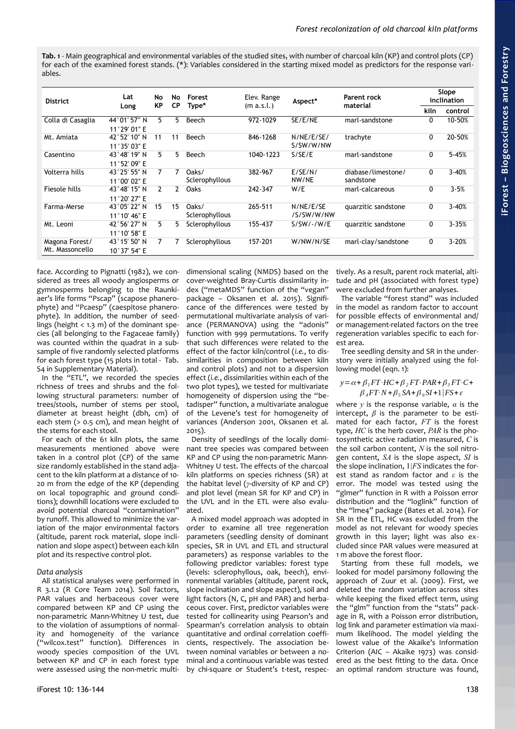<span id="page-2-0"></span>**Tab. 1** - Main geographical and environmental variables of the studied sites, with number of charcoal kiln (KP) and control plots (CP) for each of the examined forest stands. (\*): Variables considered in the starting mixed model as predictors for the response variables.

| <b>District</b>                   | Lat<br>Long                            | No<br><b>KP</b> | No<br>СP     | Forest<br>Type*         | Elev. Range<br>(m a.s.l.) | Aspect*                 | Parent rock<br>material         | Slope<br>inclination |           |
|-----------------------------------|----------------------------------------|-----------------|--------------|-------------------------|---------------------------|-------------------------|---------------------------------|----------------------|-----------|
|                                   |                                        |                 |              |                         |                           |                         |                                 | kiln                 | control   |
| Colla di Casaglia                 | 44°01′57″ N<br>11°29' 01" E            | 5.              | 5.           | Beech                   | 972-1029                  | SE/E/NE                 | marl-sandstone                  | 0                    | 10-50%    |
| Mt. Amiata                        | 42°52′10″N<br>11°35′03″E               | 11              | 11           | Beech                   | 846-1268                  | N/NE/E/SE/<br>S/SW/W/NW | trachyte                        | 0                    | 20-50%    |
| Casentino                         | 43°48′19″N<br>11°52′09″E               | 5.              | 5.           | Beech                   | 1040-1223                 | S/SE/E                  | marl-sandstone                  | 0                    | $5 - 45%$ |
| Volterra hills                    | 43°25′55″N<br>11°00′02″E               | 7               | 7            | Oaks/<br>Sclerophyllous | 382-967                   | E/SE/N/<br>NW/NE        | diabase/limestone/<br>sandstone | 0                    | $3 - 40%$ |
| Fiesole hills                     | 43°48′15″N<br>11°20′27″E               | $\mathcal{P}$   | $\mathbf{2}$ | Oaks                    | 242-347                   | W/E                     | marl-calcareous                 | 0                    | $3 - 5%$  |
| Farma-Merse                       | 43°05′22″ N<br>11 $^{\circ}$ 10' 46" E | 15              | 15           | Oaks/<br>Sclerophyllous | 265-511                   | N/NE/E/SE<br>/S/SW/W/NW | quarzitic sandstone             | 0                    | $3 - 40%$ |
| Mt. Leoni                         | 42°56′27″N<br>11°10' 58" E             | 5               | 5            | Sclerophyllous          | 155-437                   | $S/SW/-/W/E$            | quarzitic sandstone             | 0                    | $3 - 35%$ |
| Magona Forest/<br>Mt. Massoncello | 43°15′50″N<br>10°37' 54" E             |                 |              | Sclerophyllous          | 157-201                   | W/NW/N/SE               | marl-clay/sandstone             | 0                    | 3-20%     |

face. According to Pignatti (1982), we considered as trees all woody angiosperms or gymnosperms belonging to the Raunkiaer's life forms "Pscap" (scapose phanerophyte) and "Pcaesp" (caespitose phanerophyte). In addition, the number of seedlings (height  $<$  1.3 m) of the dominant species (all belonging to the Fagaceae family) was counted within the quadrat in a subsample of five randomly selected platforms for each forest type (15 plots in total - Tab. S4 in Supplementary Material).

In the "ETL", we recorded the species richness of trees and shrubs and the following structural parameters: number of trees/stools, number of stems per stool, diameter at breast height (dbh, cm) of each stem (> 0.5 cm), and mean height of the stems for each stool.

For each of the 61 kiln plots, the same measurements mentioned above were taken in a control plot (CP) of the same size randomly established in the stand adjacent to the kiln platform at a distance of 10- 20 m from the edge of the KP (depending on local topographic and ground conditions); downhill locations were excluded to avoid potential charcoal "contamination" by runoff. This allowed to minimize the variation of the major environmental factors (altitude, parent rock material, slope inclination and slope aspect) between each kiln plot and its respective control plot.

# *Data analysis*

All statistical analyses were performed in R 3.1.2 (R Core Team 2014). Soil factors, PAR values and herbaceous cover were compared between KP and CP using the non-parametric Mann-Whitney U test, due to the violation of assumptions of normality and homogeneity of the variance ("wilcox.test" function). Differences in woody species composition of the UVL between KP and CP in each forest type were assessed using the non-metric multi-

dimensional scaling (NMDS) based on the cover-weighted Bray-Curtis dissimilarity index ("metaMDS" function of the "vegan" package – Oksanen et al. 2015). Significance of the differences were tested by permutational multivariate analysis of variance (PERMANOVA) using the "adonis" function with 999 permutations. To verify that such differences were related to the effect of the factor kiln/control (*i.e.*, to dissimilarities in composition between kiln and control plots) and not to a dispersion effect (*i.e.*, dissimilarities within each of the two plot types), we tested for multivariate homogeneity of dispersion using the "betadisper" function, a multivariate analogue of the Levene's test for homogeneity of variances (Anderson 2001, Oksanen et al. 2015).

Density of seedlings of the locally dominant tree species was compared between KP and CP using the non-parametric Mann-Whitney U test. The effects of the charcoal kiln platforms on species richness (SR) at the habitat level (*γ*-diversity of KP and CP) and plot level (mean SR for KP and CP) in the UVL and in the ETL were also evaluated.

A mixed model approach was adopted in order to examine all tree regeneration parameters (seedling density of dominant species, SR in UVL and ETL and structural parameters) as response variables to the following predictor variables: forest type (levels: sclerophyllous, oak, beech), environmental variables (altitude, parent rock, slope inclination and slope aspect), soil and light factors (N, C, pH and PAR) and herbaceous cover. First, predictor variables were tested for collinearity using Pearson's and Spearman's correlation analysis to obtain quantitative and ordinal correlation coefficients, respectively. The association between nominal variables or between a nominal and a continuous variable was tested by chi-square or Student's *t*-test, respec-

tively. As a result, parent rock material, altitude and pH (associated with forest type) were excluded from further analyses.

The variable "forest stand" was included in the model as random factor to account for possible effects of environmental and/ or management-related factors on the tree regeneration variables specific to each forest area.

Tree seedling density and SR in the understory were initially analyzed using the following model (eqn. 1):

# $y = \alpha + \beta_1 FT \cdot HC + \beta_2 FT \cdot PAR + \beta_3 FT \cdot C +$  $\beta_4$ *FT*⋅*N* +  $\beta_5$  *SA* +  $\beta_6$ *SI* + 1|*FS* +  $\varepsilon$

where *y* is the response variable, *α* is the intercept,  $\beta$  is the parameter to be estimated for each factor, *FT* is the forest type, *HC* is the herb cover, *PAR* is the photosynthetic active radiation measured, *C* is the soil carbon content, *N* is the soil nitrogen content, *SA* is the slope aspect, *SI* is the slope inclination, 1*|FS* indicates the forest stand as random factor and *ε* is the error. The model was tested using the "glmer" function in R with a Poisson error distribution and the "loglink" function of the "lme4" package (Bates et al. 2014). For SR in the ETL, HC was excluded from the model as not relevant for woody species growth in this layer; light was also excluded since PAR values were measured at 1 m above the forest floor.

Starting from these full models, we looked for model parsimony following the approach of Zuur et al. (2009). First, we deleted the random variation across sites while keeping the fixed effect term, using the "glm" function from the "stats" package in R, with a Poisson error distribution, log link and parameter estimation via maximum likelihood. The model yielding the lowest value of the Akaike's Information Criterion (AIC – Akaike 1973) was considered as the best fitting to the data. Once an optimal random structure was found,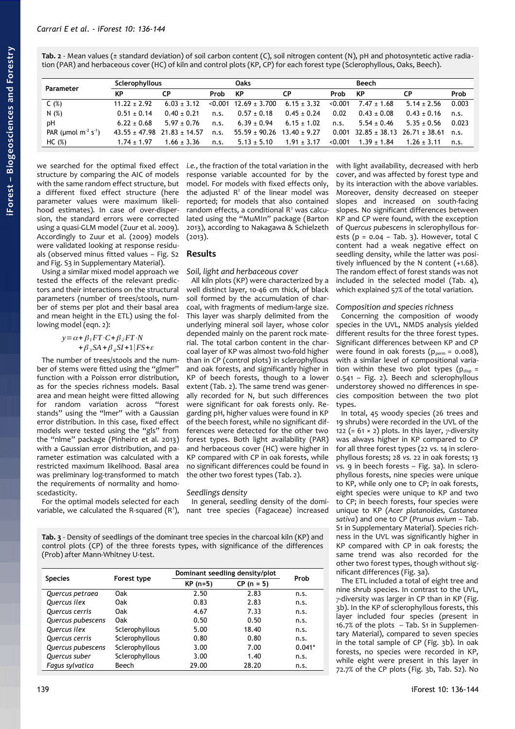<span id="page-3-1"></span>**Tab. 2** - Mean values (± standard deviation) of soil carbon content (C), soil nitrogen content (N), pH and photosyntetic active radiation (PAR) and herbaceous cover (HC) of kiln and control plots (KP, CP) for each forest type (Sclerophyllous, Oaks, Beech).

| Parameter                                 | Sclerophyllous  |                                 |      | Oaks                               |                 |         | Beech                               |                 |       |
|-------------------------------------------|-----------------|---------------------------------|------|------------------------------------|-----------------|---------|-------------------------------------|-----------------|-------|
|                                           | <b>KP</b>       | <b>CP</b>                       | Prob | – KP                               | СP              | Prob    | KP                                  | СP              | Prob  |
| C(%)                                      | $11.22 + 2.92$  | $6.03 \pm 3.12$                 |      | $< 0.001$ 12.69 $\pm$ 3.700        | $6.15 \pm 3.32$ | < 0.001 | $7.47 \pm 1.68$                     | $5.14 \pm 2.56$ | 0.003 |
| N(%)                                      | $0.51 \pm 0.14$ | $0.40 + 0.21$                   | n.S. | $0.57 \pm 0.18$                    | $0.45 \pm 0.24$ | 0.02    | $0.43 \pm 0.08$                     | $0.43 \pm 0.16$ | n.S.  |
| pH                                        | $6.22 \pm 0.68$ | $5.97 + 0.76$                   | n.s. | $6.39 \pm 0.94$                    | $6.15 \pm 1.02$ | n.s.    | $5.54 \pm 0.46$                     | $5.35 \pm 0.56$ | 0.023 |
| PAR (umol m <sup>2</sup> s <sup>1</sup> ) |                 | $43.55 + 47.98$ $21.83 + 14.57$ | n.s. | $55.59 \pm 90.26$ 13.40 $\pm$ 9.27 |                 |         | $0.001$ 32.85 ± 38.13 26.71 ± 38.61 |                 | n.S.  |
| HC (%)                                    | $1.74 \pm 1.97$ | $1.66 \pm 3.36$                 | n.s. | $5.13 \pm 5.10$                    | $1.91 \pm 3.17$ | <0.001  | $1.39 \pm 1.84$                     | $1.26 \pm 3.11$ | n.s.  |

we searched for the optimal fixed effect structure by comparing the AIC of models with the same random effect structure, but a different fixed effect structure (here parameter values were maximum likelihood estimates). In case of over-dispersion, the standard errors were corrected using a quasi-GLM model (Zuur et al. 2009). Accordingly to Zuur et al. (2009) models were validated looking at response residuals (observed minus fitted values – Fig. S2 and Fig. S3 in Supplementary Material).

Using a similar mixed model approach we tested the effects of the relevant predictors and their interactions on the structural parameters (number of trees/stools, number of stems per plot and their basal area and mean height in the ETL) using the following model (eqn. 2):

$$
y = \alpha + \beta_1 FT \cdot C + \beta_2 FT \cdot N
$$
  
+ 
$$
\beta_3 SA + \beta_4 SI + 1 \mid FS + \varepsilon
$$

The number of trees/stools and the number of stems were fitted using the "glmer" function with a Poisson error distribution, as for the species richness models. Basal area and mean height were fitted allowing for random variation across "forest stands" using the "lmer" with a Gaussian error distribution. In this case, fixed effect models were tested using the "gls" from the "nlme" package (Pinheiro et al. 2013) with a Gaussian error distribution, and parameter estimation was calculated with a restricted maximum likelihood. Basal area was preliminary log-transformed to match the requirements of normality and homoscedasticity.

For the optimal models selected for each variable, we calculated the R-squared  $(R^2)$ , *i.e.*, the fraction of the total variation in the response variable accounted for by the model. For models with fixed effects only, the adjusted  $R^2$  of the linear model was reported; for models that also contained random effects, a conditional R<sup>2</sup> was calculated using the "MuMIn" package (Barton 2013), according to Nakagawa & Schielzeth  $(2013).$ 

# **Results**

## *Soil, light and herbaceous cover*

All kiln plots (KP) were characterized by a well distinct layer, 10-46 cm thick, of black soil formed by the accumulation of charcoal, with fragments of medium-large size. This layer was sharply delimited from the underlying mineral soil layer, whose color depended mainly on the parent rock material. The total carbon content in the charcoal layer of KP was almost two-fold higher than in CP (control plots) in sclerophyllous and oak forests, and significantly higher in KP of beech forests, though to a lower extent [\(Tab. 2\)](#page-3-1). The same trend was generally recorded for N, but such differences were significant for oak forests only. Regarding pH, higher values were found in KP of the beech forest, while no significant differences were detected for the other two forest types. Both light availability (PAR) and herbaceous cover (HC) were higher in KP compared with CP in oak forests, while no significant differences could be found in the other two forest types [\(Tab. 2\)](#page-3-1).

# *Seedlings density*

In general, seedling density of the dominant tree species (Fagaceae) increased

<span id="page-3-0"></span>**Tab. 3** - Density of seedlings of the dominant tree species in the charcoal kiln (KP) and control plots (CP) of the three forests types, with significance of the differences (Prob) after Mann-Whitney U-test.

|                   |                | Dominant seedling density/plot | Prob         |          |
|-------------------|----------------|--------------------------------|--------------|----------|
| <b>Species</b>    | Forest type    | $KP(n=5)$                      | $CP (n = 5)$ |          |
| Quercus petraea   | Oak            | 2.50                           | 2.83         | n.s.     |
| Quercus ilex      | Oak            | 0.83                           | 2.83         | n.s.     |
| Quercus cerris    | Oak            | 4.67                           | 7.33         | n.s.     |
| Quercus pubescens | Oak            | 0.50                           | 0.50         | n.s.     |
| Quercus ilex      | Sclerophyllous | 5.00                           | 18.40        | n.s.     |
| Quercus cerris    | Sclerophyllous | 0.80                           | 0.80         | n.s.     |
| Quercus pubescens | Sclerophyllous | 3.00                           | 7.00         | $0.041*$ |
| Quercus suber     | Sclerophyllous | 3.00                           | 1.40         | n.s.     |
| Fagus sylvatica   | Beech          | 29.00                          | 28.20        | n.s.     |

with light availability, decreased with herb cover, and was affected by forest type and by its interaction with the above variables. Moreover, density decreased on steeper slopes and increased on south-facing slopes. No significant differences between KP and CP were found, with the exception of *Quercus pubescens* in sclerophyllous forests  $(p = 0.04 - Tab. 3)$  $(p = 0.04 - Tab. 3)$ . However, total C content had a weak negative effect on seedling density, while the latter was positively influenced by the N content (+1.68). The random effect of forest stands was not included in the selected model [\(Tab. 4\)](#page-4-2), which explained 57% of the total variation.

## *Composition and species richness*

Concerning the composition of woody species in the UVL, NMDS analysis yielded different results for the three forest types. Significant differences between KP and CP were found in oak forests ( $p_{perm} = 0.008$ ), with a similar level of compositional variation within these two plot types ( $p_{\text{disp}} =$ 0.541 – [Fig. 2\)](#page-4-1). Beech and sclerophyllous understorey showed no differences in species composition between the two plot types.

In total, 45 woody species (26 trees and 19 shrubs) were recorded in the UVL of the 122 (= 61 × 2) plots. In this layer, *γ*-diversity was always higher in KP compared to CP for all three forest types (22 *vs.* 14 in sclerophyllous forests; 28 *vs.* 22 in oak forests; 13 *vs.* 9 in beech forests – [Fig. 3a](#page-4-0)). In sclerophyllous forests, nine species were unique to KP, while only one to CP; in oak forests, eight species were unique to KP and two to CP; in beech forests, four species were unique to KP (*Acer platanoides, Castanea sativa*) and one to CP (*Prunus avium* – Tab. S1 in Supplementary Material). Species richness in the UVL was significantly higher in KP compared with CP in oak forests; the same trend was also recorded for the other two forest types, though without significant differences [\(Fig. 3a](#page-4-0)).

The ETL included a total of eight tree and nine shrub species. In contrast to the UVL, *γ*-diversity was larger in CP than in KP [\(Fig.](#page-4-0) [3b](#page-4-0)). In the KP of sclerophyllous forests, this layer included four species (present in 16.7% of the plots – Tab. S1 in Supplementary Material), compared to seven species in the total sample of CP [\(Fig. 3b](#page-4-0)). In oak forests, no species were recorded in KP, while eight were present in this layer in 72.7% of the CP plots [\(Fig. 3b](#page-4-0), Tab. S2). No

#### 139 iForest 10: 136-144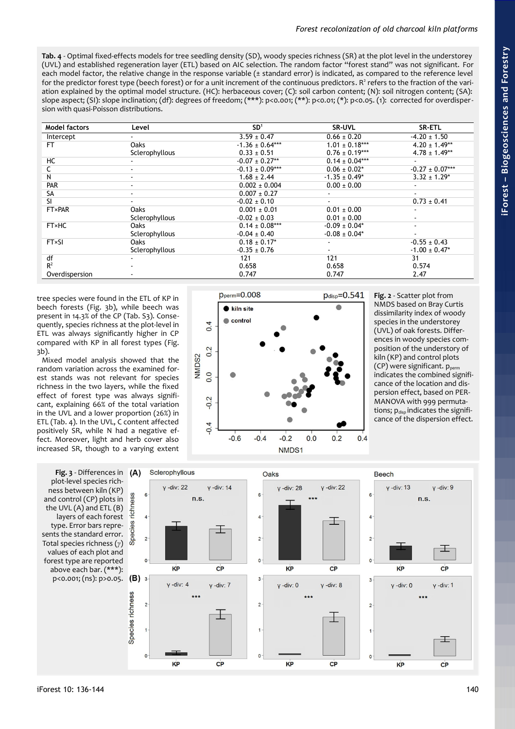<span id="page-4-2"></span>**Tab. 4** - Optimal fixed-effects models for tree seedling density (SD), woody species richness (SR) at the plot level in the understorey (UVL) and established regeneration layer (ETL) based on AIC selection. The random factor "forest stand" was not significant. For each model factor, the relative change in the response variable (± standard error) is indicated, as compared to the reference level for the predictor forest type (beech forest) or for a unit increment of the continuous predictors. R<sup>2</sup> refers to the fraction of the variation explained by the optimal model structure. (HC): herbaceous cover; (C): soil carbon content; (N): soil nitrogen content; (SA): slope aspect; (SI): slope inclination; (df): degrees of freedom; (\*\*\*): p<0.001; (\*\*): p<0.01; (\*): p<0.05. (1): corrected for overdispersion with quasi-Poisson distributions.

| Model factors  | Level                    | SD <sup>1</sup>     | <b>SR-UVL</b>      | SR-ETL              |
|----------------|--------------------------|---------------------|--------------------|---------------------|
| Intercept      |                          | $3.59 \pm 0.47$     | $0.66 \pm 0.20$    | $-4.20 \pm 1.50$    |
| FT.            | <b>Oaks</b>              | $-1.36 \pm 0.64***$ | $1.01 \pm 0.18***$ | $4.20 \pm 1.49**$   |
|                | Sclerophyllous           | $0.33 \pm 0.51$     | $0.76 \pm 0.19***$ | $4.78 \pm 1.49**$   |
| НC             |                          | $-0.07 \pm 0.27**$  | $0.14 \pm 0.04***$ |                     |
|                |                          | $-0.13 \pm 0.09***$ | $0.06 \pm 0.02^*$  | $-0.27 \pm 0.07***$ |
| N              |                          | $1.68 \pm 2.44$     | $-1.35 \pm 0.49^*$ | $3.32 \pm 1.29^*$   |
| PAR            | $\sim$                   | $0.002 \pm 0.004$   | $0.00 \pm 0.00$    |                     |
| <b>SA</b>      | $\overline{\phantom{a}}$ | $0.007 \pm 0.27$    |                    | $\sim$              |
| SI.            | ۰.                       | $-0.02 \pm 0.10$    | $\sim$             | $0.73 \pm 0.41$     |
| <b>FT×PAR</b>  | <b>Oaks</b>              | $0.001 \pm 0.01$    | $0.01 \pm 0.00$    |                     |
|                | Sclerophyllous           | $-0.02 \pm 0.03$    | $0.01 \pm 0.00$    |                     |
| <b>FT</b> ×HC  | Oaks                     | $0.14 \pm 0.08***$  | $-0.09 \pm 0.04*$  |                     |
|                | Sclerophyllous           | $-0.04 \pm 0.40$    | $-0.08 \pm 0.04*$  |                     |
| <b>FT×SI</b>   | <b>Oaks</b>              | $0.18 \pm 0.17$ *   |                    | $-0.55 \pm 0.43$    |
|                | Sclerophyllous           | $-0.35 \pm 0.76$    | ۰.                 | $-1.00 \pm 0.47$ *  |
| df             |                          | 121                 | 121                | 31                  |
| R <sup>2</sup> |                          | 0.658               | 0.658              | 0.574               |
| Overdispersion |                          | 0.747               | 0.747              | 2.47                |

tree species were found in the ETL of KP in beech forests [\(Fig. 3b](#page-4-0)), while beech was present in 14.3% of the CP (Tab. S3). Consequently, species richness at the plot-level in ETL was always significantly higher in CP compared with KP in all forest types [\(Fig.](#page-4-0) [3b](#page-4-0)).

Mixed model analysis showed that the random variation across the examined forest stands was not relevant for species richness in the two layers, while the fixed effect of forest type was always significant, explaining 66% of the total variation in the UVL and a lower proportion (26%) in ETL [\(Tab. 4\)](#page-4-2). In the UVL, C content affected positively SR, while N had a negative effect. Moreover, light and herb cover also increased SR, though to a varying extent

<span id="page-4-0"></span>**Fig. 3** - Differences in plot-level species richness between kiln (KP) and control (CP) plots in the UVL (A) and ETL (B) layers of each forest type. Error bars represents the standard error. Total species richness (*γ*) values of each plot and forest type are reported above each bar. (\*\*\*): p<0.001; (ns): p>0.05.



<span id="page-4-1"></span>**Fig. 2** - Scatter plot from NMDS based on Bray Curtis dissimilarity index of woody species in the understorey (UVL) of oak forests. Differences in woody species composition of the understory of kiln (KP) and control plots (CP) were significant. p<sub>perm</sub> indicates the combined significance of the location and dispersion effect, based on PER-MANOVA with 999 permutations;  $p_{disp}$  indicates the significance of the dispersion effect.

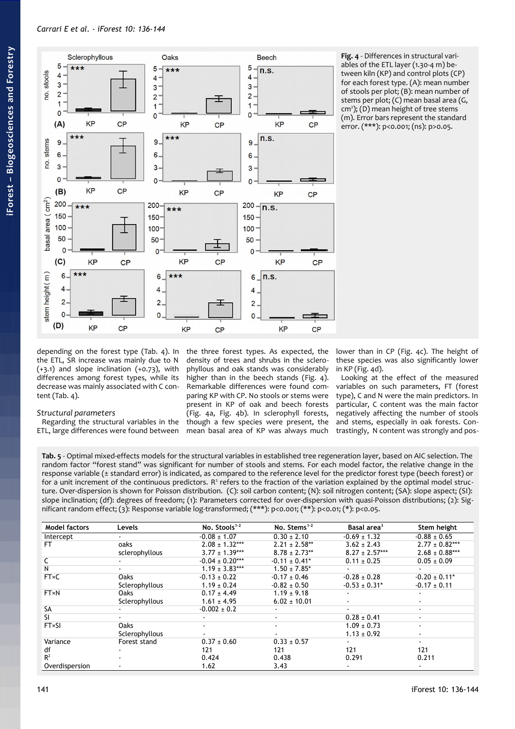

<span id="page-5-0"></span>**Fig. 4** - Differences in structural variables of the ETL layer (1.30-4 m) between kiln (KP) and control plots (CP) for each forest type. (A): mean number of stools per plot; (B): mean number of stems per plot; (C) mean basal area (G, cm<sup>2</sup>); (D) mean height of tree stems (m). Error bars represent the standard error. (\*\*\*): p<0.001; (ns): p>0.05.

depending on the forest type [\(Tab. 4\)](#page-4-2). In the ETL, SR increase was mainly due to N  $(+3.1)$  and slope inclination  $(+0.73)$ , with differences among forest types, while its decrease was mainly associated with C content [\(Tab. 4\)](#page-4-2).

# *Structural parameters*

Regarding the structural variables in the ETL, large differences were found between

the three forest types. As expected, the density of trees and shrubs in the sclerophyllous and oak stands was considerably higher than in the beech stands [\(Fig. 4\)](#page-5-0). Remarkable differences were found comparing KP with CP. No stools or stems were present in KP of oak and beech forests [\(Fig. 4a](#page-5-0), [Fig. 4b](#page-5-0)). In sclerophyll forests, though a few species were present, the mean basal area of KP was always much lower than in CP [\(Fig. 4c](#page-5-0)). The height of these species was also significantly lower in KP [\(Fig. 4d](#page-5-0)).

Looking at the effect of the measured variables on such parameters, FT (forest type), C and N were the main predictors. In particular, C content was the main factor negatively affecting the number of stools and stems, especially in oak forests. Contrastingly, N content was strongly and pos-

<span id="page-5-1"></span>**Tab. 5** - Optimal mixed-effects models for the structural variables in established tree regeneration layer, based on AIC selection. The random factor "forest stand" was significant for number of stools and stems. For each model factor, the relative change in the response variable (± standard error) is indicated, as compared to the reference level for the predictor forest type (beech forest) or for a unit increment of the continuous predictors.  $R^2$  refers to the fraction of the variation explained by the optimal model structure. Over-dispersion is shown for Poisson distribution. (C): soil carbon content; (N): soil nitrogen content; (SA): slope aspect; (SI): slope inclination; (df): degrees of freedom; (1): Parameters corrected for over-dispersion with quasi-Poisson distributions; (2): Significant random effect; (3): Response variable log-transformed; (\*\*\*): p<0.001; (\*\*): p<0.01; (\*): p<0.05.

| <b>Model factors</b> | Levels         | No. Stools <sup>1-2</sup> | No. Stems $1-2$    | Basal area <sup>3</sup> | Stem height                   |
|----------------------|----------------|---------------------------|--------------------|-------------------------|-------------------------------|
| Intercept            |                | $-0.08 \pm 1.07$          | $0.30 \pm 2.10$    | $-0.69 \pm 1.32$        | $-0.88 \pm 0.65$              |
| FТ                   | oaks           | $2.08 \pm 1.32***$        | $2.21 \pm 2.58**$  | $3.62 \pm 2.43$         | $2.77 \pm 0.82***$            |
|                      | sclerophyllous | $3.77 \pm 1.39***$        | $8.78 \pm 2.73**$  | $8.27 \pm 2.57***$      | $2.68 \pm 0.88***$            |
|                      |                | $-0.04 \pm 0.20***$       | $-0.11 \pm 0.41^*$ | $0.11 \pm 0.25$         | $0.05 \pm 0.09$               |
| N                    |                | $1.19 \pm 3.83***$        | $1.50 \pm 7.85^*$  |                         |                               |
| <b>FT×C</b>          | <b>Oaks</b>    | $-0.13 \pm 0.22$          | $-0.17 + 0.46$     | $-0.28 \pm 0.28$        | $-0.20 \pm 0.11$ <sup>*</sup> |
|                      | Sclerophyllous | $1.19 \pm 0.24$           | $-0.82 \pm 0.50$   | $-0.53 \pm 0.31*$       | $-0.17 \pm 0.11$              |
| <b>FT×N</b>          | Oaks           | $0.17 \pm 4.49$           | $1.19 \pm 9.18$    |                         |                               |
|                      | Sclerophyllous | $1.61 \pm 4.95$           | $6.02 \pm 10.01$   |                         |                               |
| <b>SA</b>            |                | $-0.002 \pm 0.2$          |                    | $\sim$                  | $\sim$                        |
| SI.                  |                |                           | $\blacksquare$     | $0.28 \pm 0.41$         | $\sim$                        |
| <b>FT×SI</b>         | <b>Oaks</b>    |                           | $\blacksquare$     | $1.09 \pm 0.73$         | ٠                             |
|                      | Sclerophyllous |                           |                    | $1.13 \pm 0.92$         | $\blacksquare$                |
| Variance             | Forest stand   | $0.37 \pm 0.60$           | $0.33 \pm 0.57$    |                         | $\sim$                        |
| df                   |                | 121                       | 121                | 121                     | 121                           |
| $R^2$                |                | 0.424                     | 0.438              | 0.291                   | 0.211                         |
| Overdispersion       |                | 1.62                      | 3.43               |                         |                               |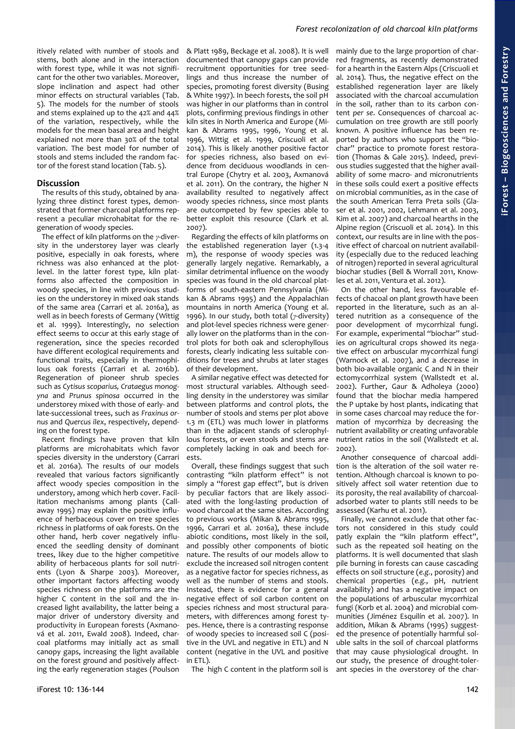itively related with number of stools and stems, both alone and in the interaction with forest type, while it was not significant for the other two variables. Moreover, slope inclination and aspect had other minor effects on structural variables [\(Tab.](#page-5-1) [5\)](#page-5-1). The models for the number of stools and stems explained up to the 42% and 44% of the variation, respectively, while the models for the mean basal area and height explained not more than 30% of the total variation. The best model for number of stools and stems included the random factor of the forest stand location [\(Tab. 5\)](#page-5-1).

#### **Discussion**

The results of this study, obtained by analyzing three distinct forest types, demonstrated that former charcoal platforms represent a peculiar microhabitat for the regeneration of woody species.

The effect of kiln platforms on the *γ*-diversity in the understorey layer was clearly positive, especially in oak forests, where richness was also enhanced at the plotlevel. In the latter forest type, kiln platforms also affected the composition in woody species, in line with previous studies on the understorey in mixed oak stands of the same area (Carrari et al. 2016a), as well as in beech forests of Germany (Wittig et al. 1999). Interestingly, no selection effect seems to occur at this early stage of regeneration, since the species recorded have different ecological requirements and functional traits, especially in thermophilous oak forests (Carrari et al. 2016b). Regeneration of pioneer shrub species such as *Cytisus scoparius, Crataegus monogyna* and *Prunus spinosa* occurred in the understorey mixed with those of early- and late-successional trees, such as *Fraxinus ornus* and *Quercus ilex*, respectively, depending on the forest type.

Recent findings have proven that kiln platforms are microhabitats which favor species diversity in the understory (Carrari et al. 2016a). The results of our models revealed that various factors significantly affect woody species composition in the understory, among which herb cover. Facilitation mechanisms among plants (Callaway 1995) may explain the positive influence of herbaceous cover on tree species richness in platforms of oak forests. On the other hand, herb cover negatively influenced the seedling density of dominant trees, likey due to the higher competitive ability of herbaceous plants for soil nutrients (Lyon & Sharpe 2003). Moreover, other important factors affecting woody species richness on the platforms are the higher C content in the soil and the increased light availability, the latter being a major driver of understory diversity and productivity in European forests (Axmanová et al. 2011, Ewald 2008). Indeed, charcoal platforms may initially act as small canopy gaps, increasing the light available on the forest ground and positively affecting the early regeneration stages (Poulson

& Platt 1989, Beckage et al. 2008). It is well documented that canopy gaps can provide recruitment opportunities for tree seedlings and thus increase the number of species, promoting forest diversity (Busing & White 1997). In beech forests, the soil pH was higher in our platforms than in control plots, confirming previous findings in other kiln sites in North America and Europe (Mikan & Abrams 1995, 1996, Young et al. 1996, Wittig et al. 1999, Criscuoli et al. 2014). This is likely another positive factor for species richness, also based on evidence from deciduous woodlands in central Europe (Chytry et al. 2003, Axmanová et al. 2011). On the contrary, the higher N availability resulted to negatively affect woody species richness, since most plants are outcompeted by few species able to better exploit this resource (Clark et al. 2007).

Regarding the effects of kiln platforms on the established regeneration layer (1.3-4 m), the response of woody species was generally largely negative. Remarkably, a similar detrimental influence on the woody species was found in the old charcoal platforms of south-eastern Pennsylvania (Mikan & Abrams 1995) and the Appalachian mountains in north America (Young et al. 1996). In our study, both total (*γ*-diversity) and plot-level species richness were generally lower on the platforms than in the control plots for both oak and sclerophyllous forests, clearly indicating less suitable conditions for trees and shrubs at later stages of their development.

A similar negative effect was detected for most structural variables. Although seedling density in the understorey was similar between platforms and control plots, the number of stools and stems per plot above 1.3 m (ETL) was much lower in platforms than in the adjacent stands of sclerophyllous forests, or even stools and stems are completely lacking in oak and beech forests.

Overall, these findings suggest that such contrasting "kiln platform effect" is not simply a "forest gap effect", but is driven by peculiar factors that are likely associated with the long-lasting production of wood charcoal at the same sites. According to previous works (Mikan & Abrams 1995, 1996, Carrari et al. 2016a), these include abiotic conditions, most likely in the soil, and possibly other components of biotic nature. The results of our models allow to exclude the increased soil nitrogen content as a negative factor for species richness, as well as the number of stems and stools. Instead, there is evidence for a general negative effect of soil carbon content on species richness and most structural parameters, with differences among forest types. Hence, there is a contrasting response of woody species to increased soil C (positive in the UVL and negative in ETL) and N content (negative in the UVL and positive in ETL).

The high C content in the platform soil is

mainly due to the large proportion of charred fragments, as recently demonstrated for a hearth in the Eastern Alps (Criscuoli et al. 2014). Thus, the negative effect on the established regeneration layer are likely associated with the charcoal accumulation in the soil, rather than to its carbon content *per se*. Consequences of charcoal accumulation on tree growth are still poorly known. A positive influence has been reported by authors who support the "biochar" practice to promote forest restoration (Thomas & Gale 2015). Indeed, previous studies suggested that the higher availability of some macro- and micronutrients in these soils could exert a positive effects on microbial communities, as in the case of the south American Terra Preta soils (Glaser et al. 2001, 2002, Lehmann et al. 2003, Kim et al. 2007) and charcoal hearths in the Alpine region (Criscuoli et al. 2014). In this context, our results are in line with the positive effect of charcoal on nutrient availability (especially due to the reduced leaching of nitrogen) reported in several agricultural biochar studies (Bell & Worrall 2011, Knowles et al. 2011, Ventura et al. 2012).

On the other hand, less favourable effects of chacoal on plant growth have been reported in the literature, such as an altered nutrition as a consequence of the poor development of mycorrhizal fungi. For example, experimental "biochar" studies on agricultural crops showed its negative effect on arbuscular mycorrhizal fungi (Warnock et al. 2007), and a decrease in both bio-available organic C and N in their ectomycorrhizal system (Wallstedt et al. 2002). Further, Gaur & Adholeya (2000) found that the biochar media hampered the P uptake by host plants, indicating that in some cases charcoal may reduce the formation of mycorrhiza by decreasing the nutrient availability or creating unfavorable nutrient ratios in the soil (Wallstedt et al. 2002).

Another consequence of charcoal addition is the alteration of the soil water retention. Although charcoal is known to positively affect soil water retention due to its porosity, the real availability of charcoaladsorbed water to plants still needs to be assessed (Karhu et al. 2011).

Finally, we cannot exclude that other factors not considered in this study could patly explain the "kiln platform effect", such as the repeated soil heating on the platforms. It is well documented that slash pile burning in forests can cause cascading effects on soil structure (*e.g.*, porosity) and chemical properties (*e.g.*, pH, nutrient availability) and has a negative impact on the populations of arbuscular mycorrhizal fungi (Korb et al. 2004) and microbial communities (Jiménez Esquilín et al. 2007). In addition, Mikan & Abrams (1995) suggested the presence of potentially harmful soluble salts in the soil of charcoal platforms that may cause physiological drought. In our study, the presence of drought-tolerant species in the overstorey of the char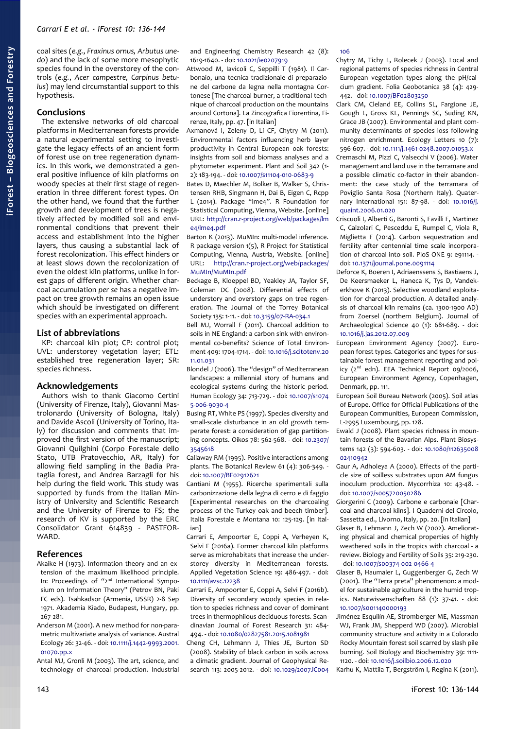coal sites (*e.g.*, *Fraxinus ornus, Arbutus unedo*) and the lack of some more mesophytic species found in the overstorey of the controls (*e.g.*, *Acer campestre, Carpinus betulus*) may lend circumstantial support to this hypothesis.

#### **Conclusions**

The extensive networks of old charcoal platforms in Mediterranean forests provide a natural experimental setting to investigate the legacy effects of an ancient form of forest use on tree regeneration dynamics. In this work, we demonstrated a general positive influence of kiln platforms on woody species at their first stage of regeneration in three different forest types. On the other hand, we found that the further growth and development of trees is negatively affected by modified soil and environmental conditions that prevent their access and establishment into the higher layers, thus causing a substantial lack of forest recolonization. This effect hinders or at least slows down the recolonization of even the oldest kiln platforms, unlike in forest gaps of different origin. Whether charcoal accumulation *per se* has a negative impact on tree growth remains an open issue which should be investigated on different species with an experimental approach.

#### **List of abbreviations**

KP: charcoal kiln plot; CP: control plot; UVL: understorey vegetation layer; ETL: established tree regeneration layer; SR: species richness.

#### **Acknowledgements**

Authors wish to thank Giacomo Certini (University of Firenze, Italy), Giovanni Mastrolonardo (University of Bologna, Italy) and Davide Ascoli (University of Torino, Italy) for discussion and comments that improved the first version of the manuscript; Giovanni Quilghini (Corpo Forestale dello Stato, UTB Pratovecchio, AR, Italy) for allowing field sampling in the Badia Prataglia forest, and Andrea Barzagli for his help during the field work. This study was supported by funds from the Italian Ministry of University and Scientific Research and the University of Firenze to FS; the research of KV is supported by the ERC Consolidator Grant 614839 - PASTFOR-WARD.

## **References**

- Akaike H (1973). Information theory and an extension of the maximum likelihood principle. In: Proceedings of "2<sup>nd</sup> International Symposium on Information Theory" (Petrov BN, Paki FC eds). Tsahkadsor (Armenia, USSR) 2-8 Sep 1971. Akademia Kiado, Budapest, Hungary, pp. 267-281.
- Anderson M (2001). A new method for non-parametric multivariate analysis of variance. Austral Ecology 26: 32-46. - doi: [10.1111/j.1442-9993.2001.](http://dx.doi.org/10.1111/j.1442-9993.2001.01070.pp.x) [01070.pp.x](http://dx.doi.org/10.1111/j.1442-9993.2001.01070.pp.x)

Antal MJ, Gronli M (2003). The art, science, and technology of charcoal production. Industrial and Engineering Chemistry Research 42 (8): 1619-1640. - doi: [10.1021/ie0207919](http://dx.doi.org/10.1021/ie0207919)

- Attwood M, Iavicoli C, Seppilli T (1981). Il Carbonaio, una tecnica tradizionale di preparazione del carbone da legna nella montagna Cortonese [The charcoal burner, a traditional technique of charcoal production on the mountains around Cortona]. La Zincografica Fiorentina, Firenze, Italy, pp. 47. [in Italian]
- Axmanová I, Zeleny D, Li CF, Chytry M (2011). Environmental factors influencing herb layer productivity in Central European oak forests: insights from soil and biomass analyses and a phytometer experiment. Plant and Soil 342 (1- 2): 183-194. - doi: [10.1007/s11104-010-0683-9](http://dx.doi.org/10.1007/s11104-010-0683-9)
- Bates D, Maechler M, Bolker B, Walker S, Christensen RHB, Singmann H, Dai B, Eigen C, Rcpp L (2014). Package "lme4". R Foundation for Statistical Computing, Vienna, Website. [online] URL: [http://cran.r-project.org/web/packages/lm](http://cran.r-project.org/web/packages/lme4/lme4.pdf) [e4/lme4.pdf](http://cran.r-project.org/web/packages/lme4/lme4.pdf)
- Barton K (2013). MuMIn: multi-model inference. R package version 1(5), R Project for Statistical Computing, Vienna, Austria, Website. [online] URL: [http://cran.r-project.org/web/packages/](https://cran.r-project.org/web/packages/MuMIn/MuMIn.pdf) [MuMIn/MuMIn.pdf](https://cran.r-project.org/web/packages/MuMIn/MuMIn.pdf)
- Beckage B, Kloeppel BD, Yeakley JA, Taylor SF, Coleman DC (2008). Differential effects of understory and overstory gaps on tree regeneration. The Journal of the Torrey Botanical Society 135: 1-11. - doi: [10.3159/07-RA-034.1](http://dx.doi.org/10.3159/07-RA-034.1)

Bell MJ, Worrall F (2011). Charcoal addition to soils in NE England: a carbon sink with environmental co-benefits? Science of Total Environment 409: 1704-1714. - doi: [10.1016/j.scitotenv.20](http://dx.doi.org/10.1016/j.scitotenv.2011.01.031) [11.01.031](http://dx.doi.org/10.1016/j.scitotenv.2011.01.031)

Blondel J (2006). The "design" of Mediterranean landscapes: a millennial story of humans and ecological systems during the historic period. Human Ecology 34: 713-729. - doi: [10.1007/s1074](http://dx.doi.org/10.1007/s10745-006-9030-4) [5-006-9030-4](http://dx.doi.org/10.1007/s10745-006-9030-4)

- Busing RT, White PS (1997). Species diversity and small-scale disturbance in an old growth temperate forest: a consideration of gap partitioning concepts. Oikos 78: 562-568. - doi: [10.2307/](http://dx.doi.org/10.2307/3545618) [3545618](http://dx.doi.org/10.2307/3545618)
- Callaway RM (1995). Positive interactions among plants. The Botanical Review 61 (4): 306-349. doi: [10.1007/BF02912621](http://dx.doi.org/10.1007/BF02912621)
- Cantiani M (1955). Ricerche sperimentali sulla carbonizzazione della legna di cerro e di faggio [Experimental researches on the charcoaling process of the Turkey oak and beech timber]. Italia Forestale e Montana 10: 125-129. [in Italian]
- Carrari E, Ampoorter E, Coppi A, Verheyen K, Selvi F (2016a). Former charcoal kiln platforms serve as microhabitats that increase the understorey diversity in Mediterranean forests. Applied Vegetation Science 19: 486-497. - doi: [10.1111/avsc.12238](http://dx.doi.org/10.1111/avsc.12238)
- Carrari E, Ampoorter E, Coppi A, Selvi F (2016b). Diversity of secondary woody species in relation to species richness and cover of dominant trees in thermophilous deciduous forests. Scandinavian Journal of Forest Research 31: 484- 494. - doi: [10.1080/02827581.2015.1081981](http://dx.doi.org/10.1080/02827581.2015.1081981)
- Cheng CH, Lehmann J, Thies JE, Burton SD (2008). Stability of black carbon in soils across a climatic gradient. Journal of Geophysical Research 113: 2005-2012. - doi: [10.1029/2007JC004](http://dx.doi.org/10.1029/2007JC004106)

#### [106](http://dx.doi.org/10.1029/2007JC004106)

- Chytry M, Tichy L, Rolecek J (2003). Local and regional patterns of species richness in Central European vegetation types along the pH/calcium gradient. Folia Geobotanica 38 (4): 429- 442. - doi: [10.1007/BF02803250](http://dx.doi.org/10.1007/BF02803250)
- Clark CM, Cleland EE, Collins SL, Fargione JE, Gough L, Gross KL, Pennings SC, Suding KN, Grace JB (2007). Environmental and plant community determinants of species loss following nitrogen enrichment. Ecology Letters 10 (7): 596-607. - doi: [10.1111/j.1461-0248.2007.01053.x](http://dx.doi.org/10.1111/j.1461-0248.2007.01053.x)
- Cremaschi M, Pizzi C, Valsecchi V (2006). Water management and land use in the terramare and a possible climatic co-factor in their abandonment: the case study of the terramara of Poviglio Santa Rosa (Northern Italy). Quaternary International 151: 87-98. - doi: [10.1016/j.](http://dx.doi.org/10.1016/j.quaint.2006.01.020) [quaint.2006.01.020](http://dx.doi.org/10.1016/j.quaint.2006.01.020)
- Criscuoli I, Alberti G, Baronti S, Favilli F, Martinez C, Calzolari C, Pesceddu E, Rumpel C, Viola R, Miglietta F (2014). Carbon sequestration and fertility after centennial time scale incorporation of charcoal into soil. PloS ONE 9: e91114. doi: [10.1371/journal.pone.0091114](http://dx.doi.org/10.1371/journal.pone.0091114)
- Deforce K, Boeren I, Adriaenssens S, Bastiaens J, De Keersmaeker L, Haneca K, Tys D, Vandekerkhove K (2013). Selective woodland exploitation for charcoal production. A detailed analysis of charcoal kiln remains (ca. 1300-1900 AD) from Zoersel (northern Belgium). Journal of Archaeological Science 40 (1): 681-689. - doi: [10.1016/j.jas.2012.07.009](http://dx.doi.org/10.1016/j.jas.2012.07.009)
- European Environment Agency (2007). European forest types. Categories and types for sustainable forest management reporting and pol $icy$  ( $2<sup>nd</sup>$  edn). EEA Technical Report 09/2006, European Environment Agency, Copenhagen, Denmark, pp. 111.
- European Soil Bureau Network (2005). Soil atlas of Europe. Office for Official Publications of the European Communities, European Commission, L-2995 Luxembourg, pp. 128.
- Ewald J (2008). Plant species richness in mountain forests of the Bavarian Alps. Plant Biosystems 142 (3): 594-603. - doi: [10.1080/112635008](http://dx.doi.org/10.1080/11263500802410942) [02410942](http://dx.doi.org/10.1080/11263500802410942)
- Gaur A, Adholeya A (2000). Effects of the particle size of soilless substrates upon AM fungus inoculum production. Mycorrhiza 10: 43-48. doi: [10.1007/s005720050286](http://dx.doi.org/10.1007/s005720050286)
- Giorgerini C (2009). Carbone e carbonaie [Charcoal and charcoal kilns]. I Quaderni del Circolo, Sassetta ed., Livorno, Italy, pp. 20. [in Italian]
- Glaser B, Lehmann J, Zech W (2002). Ameliorating physical and chemical properties of highly weathered soils in the tropics with charcoal - a review. Biology and Fertility of Soils 35: 219-230. - doi: [10.1007/s00374-002-0466-4](http://dx.doi.org/10.1007/s00374-002-0466-4)
- Glaser B, Haumaier L, Guggenberger G, Zech W (2001). The "Terra preta" phenomenon: a model for sustainable agriculture in the humid tropics. Naturwissenschaften 88 (1): 37-41. - doi: [10.1007/s001140000193](http://dx.doi.org/10.1007/s001140000193)
- Jiménez Esquilín AE, Stromberger ME, Massman WJ, Frank JM, Shepperd WD (2007). Microbial community structure and activity in a Colorado Rocky Mountain forest soil scarred by slash pile burning. Soil Biology and Biochemistry 39: 1111- 1120. - doi: [10.1016/j.soilbio.2006.12.020](http://dx.doi.org/10.1016/j.soilbio.2006.12.020)

Karhu K, Mattila T, Bergström I, Regina K (2011).